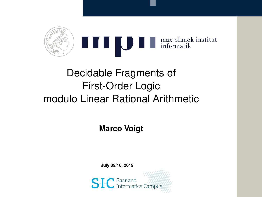

# Decidable Fragments of First-Order Logic modulo Linear Rational Arithmetic

**Marco Voigt**

**July 09/16, 2019**

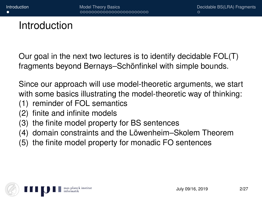### <span id="page-1-0"></span>Introduction

Our goal in the next two lectures is to identify decidable FOL(T) fragments beyond Bernays–Schönfinkel with simple bounds.

Since our approach will use model-theoretic arguments, we start with some basics illustrating the model-theoretic way of thinking:

- (1) reminder of FOL semantics
- (2) finite and infinite models
- (3) the finite model property for BS sentences
- (4) domain constraints and the Löwenheim–Skolem Theorem
- (5) the finite model property for monadic FO sentences

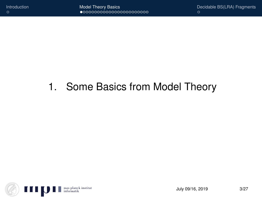# <span id="page-2-0"></span>1. Some Basics from Model Theory

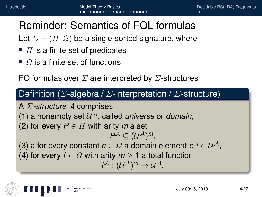### Reminder: Semantics of FOL formulas

Let  $\Sigma = (\Pi, \Omega)$  be a single-sorted signature, where

- $\blacksquare$  IT is a finite set of predicates
- $\blacksquare$  Ω is a finite set of functions

FO formulas over  $\Sigma$  are interpreted by  $\Sigma$ -structures.

#### Definition ( $\Sigma$ -algebra /  $\Sigma$ -interpretation /  $\Sigma$ -structure)

A Σ*-structure* A comprises (1) a nonempty set  $\mathcal{U}^{\mathcal{A}}$ , called *universe* or *domain*, (2) for every  $P \in \Pi$  with arity *m* a set  $P^{\mathcal{A}} \subseteq (\mathcal{U}^{\mathcal{A}})^m$ , (3) a for every constant  $c \in \Omega$  a domain element  $c^{\mathcal{A}} \in \mathcal{U}^{\mathcal{A}}$ , (4) for every  $f \in \Omega$  with arity  $m > 1$  a total function  $f^{\mathcal{A}}: (\mathcal{U}^{\mathcal{A}})^m \rightarrow \mathcal{U}^{\mathcal{A}}.$ 

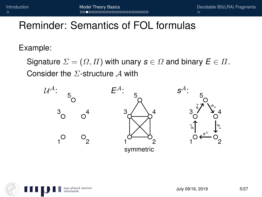### Reminder: Semantics of FOL formulas

Example:

Signature  $\Sigma = (\Omega, \Pi)$  with unary  $\mathbf{s} \in \Omega$  and binary  $\mathbf{E} \in \Pi$ . Consider the  $\Sigma$ -structure A with



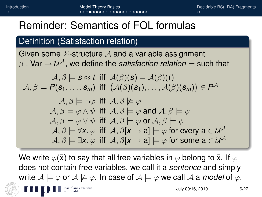### Reminder: Semantics of FOL formulas

### Definition (Satisfaction relation)

Given some  $\Sigma$ -structure A and a variable assignment  $\beta$ : Var  $\rightarrow$   $\mathcal{U}^{\mathcal{A}}$ , we define the *satisfaction relation*  $\models$  such that

$$
\mathcal{A}, \beta \models s \approx t \text{ iff } \mathcal{A}(\beta)(s) = \mathcal{A}(\beta)(t) \mathcal{A}, \beta \models P(s_1, \ldots, s_m) \text{ iff } (\mathcal{A}(\beta)(s_1), \ldots, \mathcal{A}(\beta)(s_m)) \in P^{\mathcal{A}}
$$

$$
\mathcal{A}, \beta \models \neg \varphi \text{ iff } \mathcal{A}, \beta \not\models \varphi
$$
\n
$$
\mathcal{A}, \beta \models \varphi \land \psi \text{ iff } \mathcal{A}, \beta \models \varphi \text{ and } \mathcal{A}, \beta \models \psi
$$
\n
$$
\mathcal{A}, \beta \models \varphi \lor \psi \text{ iff } \mathcal{A}, \beta \models \varphi \text{ or } \mathcal{A}, \beta \models \psi
$$
\n
$$
\mathcal{A}, \beta \models \forall x. \varphi \text{ iff } \mathcal{A}, \beta[x \mapsto a] \models \varphi \text{ for every } a \in \mathcal{U}^{\mathcal{A}}
$$
\n
$$
\mathcal{A}, \beta \models \exists x. \varphi \text{ iff } \mathcal{A}, \beta[x \mapsto a] \models \varphi \text{ for some } a \in \mathcal{U}^{\mathcal{A}}
$$

We write  $\varphi(\bar{x})$  to say that all free variables in  $\varphi$  belong to  $\bar{x}$ . If  $\varphi$ does not contain free variables, we call it a *sentence* and simply write  $A \models \varphi$  or  $A \not\models \varphi$ . In case of  $A \models \varphi$  we call A a *model* of  $\varphi$ . max planek institut<br>informatik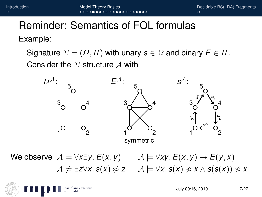## Reminder: Semantics of FOL formulas Example:

Signature  $\Sigma = (\Omega, \Pi)$  with unary  $s \in \Omega$  and binary  $\mathbf{E} \in \Pi$ . Consider the  $\Sigma$ -structure A with



We observe  $A \models \forall x \exists y$ .  $E(x, y)$   $A \models \forall xy$ .  $E(x, y) \rightarrow E(y, x)$  $A \not\models \exists z \forall x. s(x) \not\approx z \quad A \models \forall x. s(x) \not\approx x \land s(s(x)) \not\approx x$ 

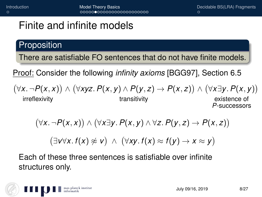### **Proposition**

There are satisfiable FO sentences that do not have finite models.

Proof: Consider the following *infinity axioms* [BGG97], Section 6.5

 $(\forall x \land \neg P(x, x)) \land (\forall xyz \land P(x, y) \land P(y, z) \rightarrow P(x, z)) \land (\forall x \exists y \land P(x, y))$ irreflexivity **transitivity** transitivity existence of

*P*-successors

$$
(\forall x. \neg P(x,x)) \land (\forall x \exists y. P(x,y) \land \forall z. P(y,z) \rightarrow P(x,z))
$$

 $(\exists v \forall x. f(x) \not\approx v) \land (\forall xy. f(x) \approx f(y) \rightarrow x \approx y)$ 

Each of these three sentences is satisfiable over infinite structures only.

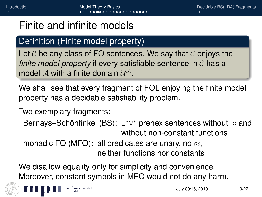### Definition (Finite model property)

Let  $\mathcal C$  be any class of FO sentences. We say that  $\mathcal C$  enjoys the *finite model property* if every satisfiable sentence in C has a model  $\mathcal A$  with a finite domain  $\mathcal U^{\mathcal A}.$ 

We shall see that every fragment of FOL enjoying the finite model property has a decidable satisfiability problem.

Two exemplary fragments:

```
Bernays–Schönfinkel (BS): ∃*∀* prenex sentences without \approx and
                without non-constant functions
```
monadic FO (MFO): all predicates are unary, no  $\approx$ , neither functions nor constants

We disallow equality only for simplicity and convenience. Moreover, constant symbols in MFO would not do any harm.

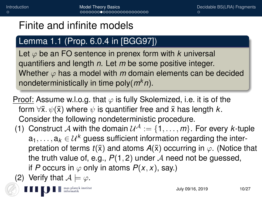### Lemma 1.1 (Prop. 6.0.4 in [BGG97])

Let  $\varphi$  be an FO sentence in prenex form with  $k$  universal quantifiers and length *n*. Let *m* be some positive integer. Whether  $\varphi$  has a model with  $m$  domain elements can be decided nondeterministically in time poly(*mkn*).

Proof: Assume w.l.o.g. that  $\varphi$  is fully Skolemized, i.e. it is of the form  $\forall \bar{x}$ .  $\psi(\bar{x})$  where  $\psi$  is quantifier free and  $\bar{x}$  has length  $k$ . Consider the following nondeterministic procedure.

- (1) Construct A with the domain  $\mathcal{U}^{\mathcal{A}} := \{1, \ldots, m\}$ . For every *k*-tuple  $a_1, \ldots, a_k \in \mathcal{U}^k$  guess sufficient information regarding the interpretation of terms  $t(\bar{x})$  and atoms  $A(\bar{x})$  occurring in  $\varphi$ . (Notice that the truth value of, e.g.,  $P(1, 2)$  under A need not be guessed, if *P* occurs in  $\varphi$  only in atoms  $P(x, x)$ , say.)
- (2) Verify that  $A \models \varphi$ .

 $\blacksquare$  max planck institut<br>informatik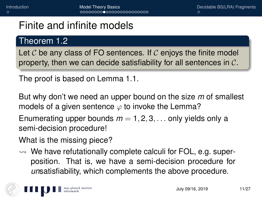### Theorem 1.2

Let  $\mathcal C$  be any class of FO sentences. If  $\mathcal C$  enjoys the finite model property, then we can decide satisfiability for all sentences in  $C$ .

The proof is based on Lemma 1.1.

But why don't we need an upper bound on the size *m* of smallest models of a given sentence  $\varphi$  to invoke the Lemma?

Enumerating upper bounds  $m = 1, 2, 3, \ldots$  only yields only a semi-decision procedure!

What is the missing piece?

 $\rightsquigarrow$  We have refutationally complete calculi for FOL, e.g. superposition. That is, we have a semi-decision procedure for *un*satisfiability, which complements the above procedure.

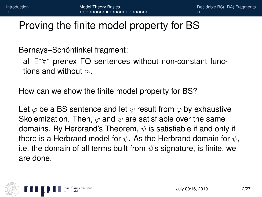### Proving the finite model property for BS

Bernays–Schönfinkel fragment:

all ∃ ∗∀ <sup>∗</sup> prenex FO sentences without non-constant functions and without  $\approx$ .

How can we show the finite model property for BS?

Let  $\varphi$  be a BS sentence and let  $\psi$  result from  $\varphi$  by exhaustive Skolemization. Then,  $\varphi$  and  $\psi$  are satisfiable over the same domains. By Herbrand's Theorem,  $\psi$  is satisfiable if and only if there is a Herbrand model for  $\psi$ . As the Herbrand domain for  $\psi$ , i.e. the domain of all terms built from  $\psi$ 's signature, is finite, we are done.

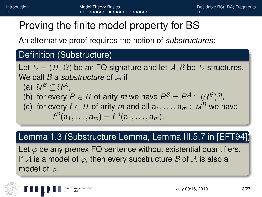## Proving the finite model property for BS

An alternative proof requires the notion of *substructures*:

### Definition (Substructure)

Let  $\Sigma = (\Pi, \Omega)$  be an FO signature and let A, B be  $\Sigma$ -structures. We call B a *substructure* of A if (a)  $\mathcal{U}^{\mathcal{B}} \subseteq \mathcal{U}^{\mathcal{A}},$ (b) for every  $P \in \Pi$  of arity *m* we have  $P^{\mathcal{B}} = P^{\mathcal{A}} \cap (\mathcal{U}^{\mathcal{B}})^m$ , (c) for every  $f \in \Pi$  of arity *m* and all  $a_1, \ldots, a_m \in \mathcal{U}^B$  we have  $f^{B}(a_1, \ldots, a_m) = f^{A}(a_1, \ldots, a_m).$ 

#### Lemma 1.3 (Substructure Lemma, Lemma III.5.7 in [EFT94])

Let  $\varphi$  be any prenex FO sentence without existential quantifiers. If A is a model of  $\varphi$ , then every substructure B of A is also a model of  $\varphi$ .

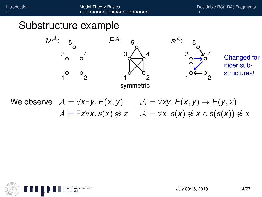[Introduction](#page-1-0) **[Model Theory Basics](#page-2-0) [Decidable BS\(LRA\) Fragments](#page-27-0)**<br>  $\circ$ 

### Substructure example



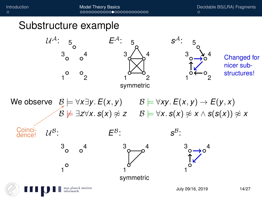[Introduction](#page-1-0) **[Model Theory Basics](#page-2-0) [Decidable BS\(LRA\) Fragments](#page-27-0)**<br>  $\circ$ 

### Substructure example

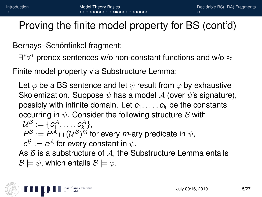Proving the finite model property for BS (cont'd)

Bernays–Schönfinkel fragment:

 $\exists^* \forall^*$  prenex sentences w/o non-constant functions and w/o  $\approx$ 

Finite model property via Substructure Lemma:

Let  $\varphi$  be a BS sentence and let  $\psi$  result from  $\varphi$  by exhaustive Skolemization. Suppose  $\psi$  has a model A (over  $\psi$ 's signature), possibly with infinite domain. Let  $c_1, \ldots, c_k$  be the constants occurring in  $\psi$ . Consider the following structure  $\mathcal B$  with  $\mathcal{U}^{\mathcal{B}}_{\bullet}:=\{\boldsymbol{c^{\mathcal{A}}_1},\ldots,\boldsymbol{c^{\mathcal{A}}_k}\},$  $P^{\mathcal{B}} := P^{\mathcal{A}} \cap (\mathcal{U}^{\mathcal{B}})^m$  for every *m*-ary predicate in  $\psi$ ,  $\pmb{c}^{\mathcal{B}} := \pmb{c}^{\mathcal{A}}$  for every constant in  $\psi.$ As  $\beta$  is a substructure of  $\mathcal{A}$ , the Substructure Lemma entails  $\mathcal{B} \models \psi$ , which entails  $\mathcal{B} \models \varphi$ .

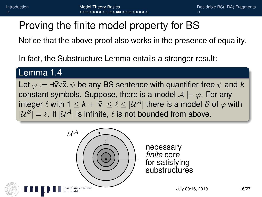# Proving the finite model property for BS

Notice that the above proof also works in the presence of equality.

In fact, the Substructure Lemma entails a stronger result:

#### Lemma 1.4

Let  $\varphi := \exists \nabla \forall \bar{x} \cdot \psi$  be any BS sentence with quantifier-free  $\psi$  and k constant symbols. Suppose, there is a model  $A \models \varphi$ . For any integer  $\ell$  with  $1 \leq k + |\bar{v}| \leq \ell \leq |\mathcal{U}^{\mathcal{A}}|$  there is a model  $\mathcal{B}$  of  $\varphi$  with  $|\mathcal{U}^{\mathcal{B}}| = \ell$ . If  $|\mathcal{U}^{\mathcal{A}}|$  is infinite,  $\ell$  is not bounded from above.



necessary *finite* core for satisfying substructures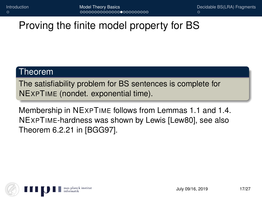## Proving the finite model property for BS

#### Theorem

The satisfiability problem for BS sentences is complete for NEXPTIME (nondet. exponential time).

Membership in NEXPTIME follows from Lemmas 1.1 and 1.4. NEXPTIME-hardness was shown by Lewis [Lew80], see also Theorem 6.2.21 in [BGG97].

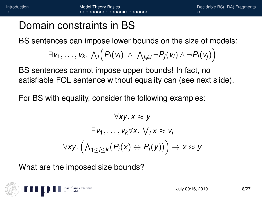### Domain constraints in BS

BS sentences can impose lower bounds on the size of models:

$$
\exists v_1,\ldots,v_k. \ \bigwedge_i \Bigl(P_i(v_i) \ \wedge \ \bigwedge_{j\neq i} \neg P_j(v_i) \ \wedge \ \neg P_i(v_j)\Bigr)
$$

BS sentences cannot impose upper bounds! In fact, no satisfiable FOL sentence without equality can (see next slide).

For BS with equality, consider the following examples:

$$
\forall xy. \, x \approx y
$$

$$
\exists v_1, \dots, v_k \forall x. \, \forall j \, x \approx v_i
$$

$$
\forall xy. \, \left(\bigwedge_{1 \leq i \leq k} (P_i(x) \leftrightarrow P_i(y))\right) \rightarrow x \approx y
$$

What are the imposed size bounds?

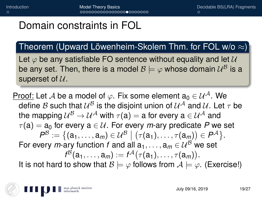### Domain constraints in FOL

Theorem (Upward Löwenheim-Skolem Thm. for FOL w/o  $\approx$ )

Let  $\varphi$  be any satisfiable FO sentence without equality and let  $\mathcal U$ be any set. Then, there is a model  $\mathcal{B} \models \varphi$  whose domain  $\mathcal{U}^{\mathcal{B}}$  is a superset of  $U$ .

Proof: Let A be a model of  $\varphi$ . Fix some element a<sub>0</sub>  $\in \mathcal{U}^{\mathcal{A}}$ . We define  ${\cal B}$  such that  ${\cal U}^{\cal B}$  is the disjoint union of  ${\cal U}^{\cal A}$  and  ${\cal U}.$  Let  $\tau$  be the mapping  $\mathcal{U}^{\mathcal{B}}\to \mathcal{U}^{\mathcal{A}}$  with  $\tau(\mathsf{a})=\mathsf{a}$  for every  $\mathsf{a}\in \mathcal{U}^{\mathcal{A}}$  and  $\tau$ (a) = a<sub>0</sub> for every a  $\in \mathcal{U}$ . For every *m*-ary predicate *P* we set  $\mathcal{P}^{\mathcal{B}}:=\big\{(\mathsf{a}_1,\ldots,\mathsf{a}_m)\in\mathcal{U}^{\mathcal{B}}\ \big\vert\ \big(\tau(\mathsf{a}_1),\ldots,\tau(\mathsf{a}_m)\big)\in\mathcal{P}^{\mathcal{A}}\big\}.$ For every *m*-ary function *f* and all  $a_1, \ldots, a_m \in \mathcal{U}^B$  we set  $f^{\mathcal{B}}(\mathsf{a}_1,\ldots,\mathsf{a}_m) := f^{\mathcal{A}}\big(\tau(\mathsf{a}_1),\ldots,\tau(\mathsf{a}_m)\big).$ It is not hard to show that  $B \models \varphi$  follows from  $A \models \varphi$ . (Exercise!)

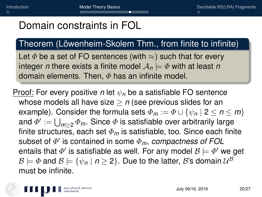## Domain constraints in FOL

### Theorem (Löwenheim-Skolem Thm., from finite to infinite)

Let  $\Phi$  be a set of FO sentences (with  $\approx$ ) such that for every integer *n* there exists a finite model  $A_n \models \Phi$  with at least *n* domain elements. Then,  $\Phi$  has an infinite model.

Proof: For every positive *n* let  $\psi_n$  be a satisfiable FO sentence whose models all have size  $> n$  (see previous slides for an example). Consider the formula sets  $\Phi_m := \Phi \cup \{\psi_n \mid 2 \leq n \leq m\}$ and  $\varPhi':=\bigcup_{m\geq 2}\varPhi_m.$  Since  $\varPhi$  is satisfiable over arbitrarily large finite structures, each set  $\Phi_m$  is satisfiable, too. Since each finite subset of  $\Phi'$  is contained in some  $\Phi_m$ , *compactness of FOL* entails that  $\varPhi'$  is satisfiable as well. For any model  $\mathcal{B} \models \varPhi'$  we get  $\mathcal{B} \models \varPhi$  and  $\mathcal{B} \models \{\psi_{\boldsymbol{n}} \mid \boldsymbol{n} \geq 2\}.$  Due to the latter,  $\mathcal{B}$ 's domain  $\mathcal{U}^{\mathcal{B}}$ must be infinite.

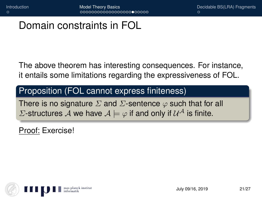## Domain constraints in FOL

The above theorem has interesting consequences. For instance, it entails some limitations regarding the expressiveness of FOL.

#### Proposition (FOL cannot express finiteness)

There is no signature  $\Sigma$  and  $\Sigma$ -sentence  $\varphi$  such that for all  $\varSigma$ -structures  $\mathcal A$  we have  $\mathcal A \models \varphi$  if and only if  $\mathcal U^{\mathcal A}$  is finite.

Proof: Exercise!

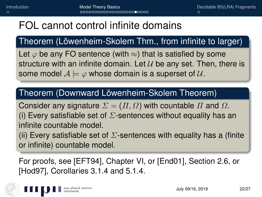## FOL cannot control infinite domains

### Theorem (Löwenheim-Skolem Thm., from infinite to larger)

Let  $\varphi$  be any FO sentence (with  $\approx$ ) that is satisfied by some structure with an infinite domain. Let  $U$  be any set. Then, there is some model  $A \models \varphi$  whose domain is a superset of  $\mathcal{U}$ .

#### Theorem (Downward Löwenheim-Skolem Theorem)

Consider any signature  $\Sigma = (\Pi, \Omega)$  with countable  $\Pi$  and  $\Omega$ . (i) Every satisfiable set of  $\Sigma$ -sentences without equality has an infinite countable model.

(ii) Every satisfiable set of  $\Sigma$ -sentences with equality has a (finite or infinite) countable model.

For proofs, see [EFT94], Chapter VI, or [End01], Section 2.6, or [Hod97], Corollaries 3.1.4 and 5.1.4.

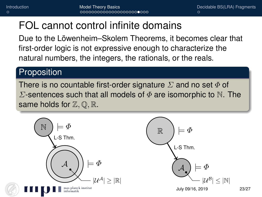## FOL cannot control infinite domains

Due to the Löwenheim–Skolem Theorems, it becomes clear that first-order logic is not expressive enough to characterize the natural numbers, the integers, the rationals, or the reals.

#### **Proposition**

There is no countable first-order signature  $\Sigma$  and no set  $\Phi$  of  $\Sigma$ -sentences such that all models of  $\Phi$  are isomorphic to N. The same holds for  $\mathbb{Z}, \mathbb{Q}, \mathbb{R}$ .

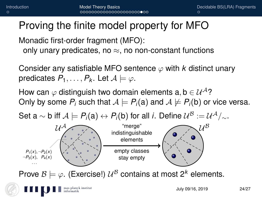## Proving the finite model property for MFO Monadic first-order fragment (MFO):

only unary predicates, no  $\approx$ , no non-constant functions

Consider any satisfiable MFO sentence  $\varphi$  with *k* distinct unary predicates  $P_1, \ldots, P_k$ . Let  $A \models \varphi$ .

How can  $\varphi$  distinguish two domain elements a, b  $\in \mathcal{U}^{\mathcal{A}}$ ? Only by some  $P_i$  such that  $A \models P_i$ (a) and  $A \not\models P_i$ (b) or vice versa.

Set a  $\sim$  b iff  $\mathcal{A} \models P_i(\mathsf{a}) \leftrightarrow P_i(\mathsf{b})$  for all *i*. Define  $\mathcal{U}^{\mathcal{B}} := \mathcal{U}^{\mathcal{A}}/_\sim$ .



planck institut

Prove  $\mathcal{B} \models \varphi$ . (Exercise!)  $\mathcal{U}^{\mathcal{B}}$  contains at most 2<sup>k</sup> elements.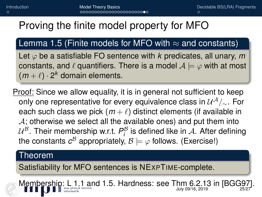## Proving the finite model property for MFO

### Lemma 1.5 (Finite models for MFO with  $\approx$  and constants)

Let  $\varphi$  be a satisfiable FO sentence with *k* predicates, all unary, *m* constants, and  $\ell$  quantifiers. There is a model  $A \models \varphi$  with at most  $(m + \ell) \cdot 2^k$  domain elements.

Proof: Since we allow equality, it is in general not sufficient to keep only one representative for every equivalence class in  $\mathcal{U}^{\mathcal{A}}/_\sim$ . For each such class we pick  $(m + \ell)$  distinct elements (if available in  $\mathcal{A}$ ; otherwise we select all the available ones) and put them into  $\mathcal{U}^{\mathcal{B}}$ . Their membership w.r.t.  $P^{\mathcal{B}}_i$  is defined like in  $\mathcal{A}$ . After defining the constants  $c^\mathcal{B}$  appropriately,  $\mathcal{B} \models \varphi$  follows. (Exercise!)

#### Theorem

Satisfiability for MFO sentences is NEXPTIME-complete.

Membership: L 1.1 and 1.5. Hardness: see Thm 6.2.13 in [BGG97].  $J<sub>U</sub>$ luly 09/16, 2019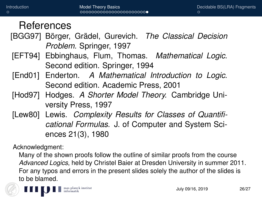### References

- [BGG97] Börger, Grädel, Gurevich. *The Classical Decision Problem.* Springer, 1997
- [EFT94] Ebbinghaus, Flum, Thomas. *Mathematical Logic.* Second edition. Springer, 1994
- [End01] Enderton. *A Mathematical Introduction to Logic.* Second edition. Academic Press, 2001
- [Hod97] Hodges. *A Shorter Model Theory.* Cambridge University Press, 1997
- [Lew80] Lewis. *Complexity Results for Classes of Quantificational Formulas.* J. of Computer and System Sciences 21(3), 1980

Acknowledgment:

Many of the shown proofs follow the outline of similar proofs from the course *Advanced Logics*, held by Christel Baier at Dresden University in summer 2011. For any typos and errors in the present slides solely the author of the slides is to be blamed.